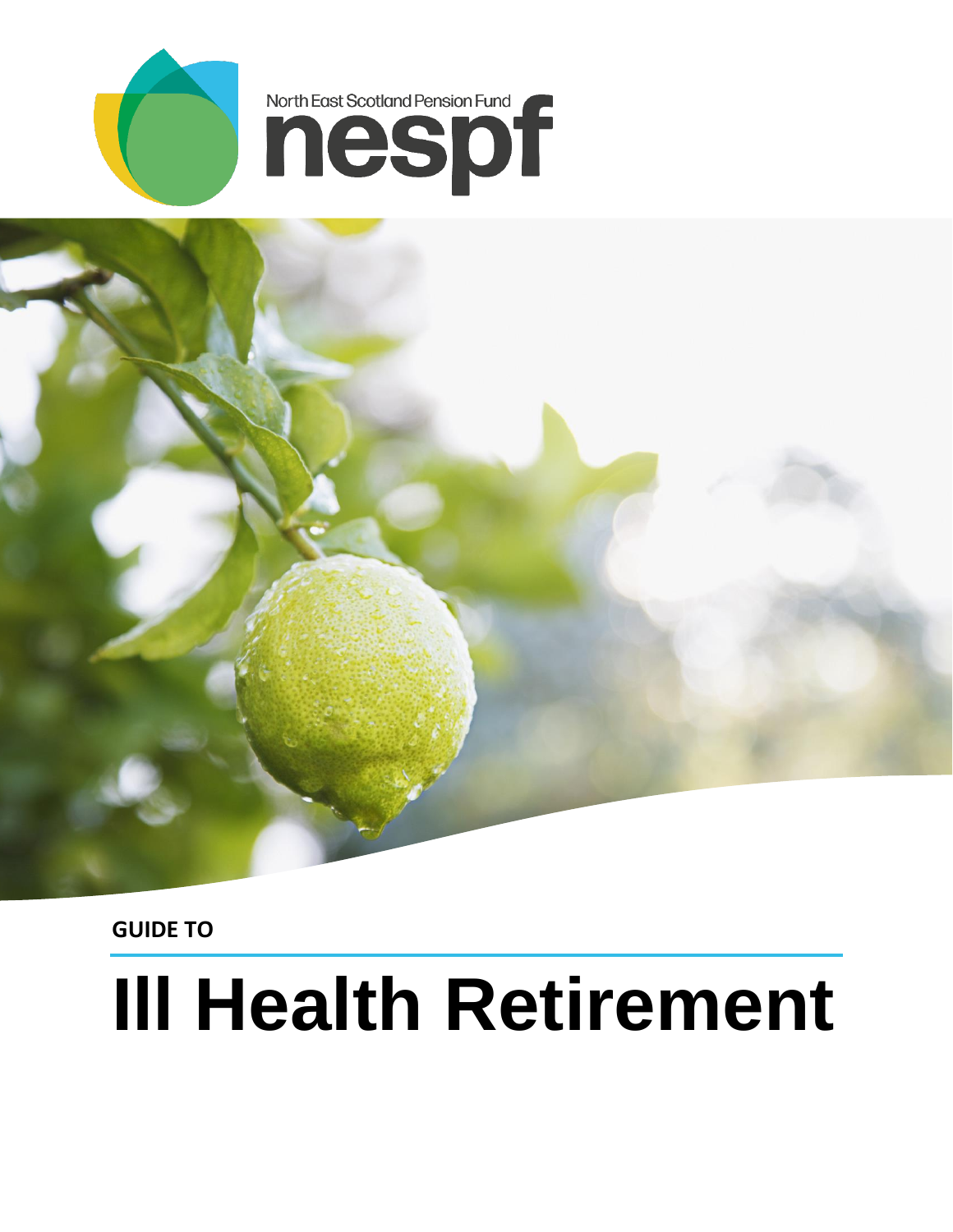



**GUIDE TO** 

# **Ill Health Retirement**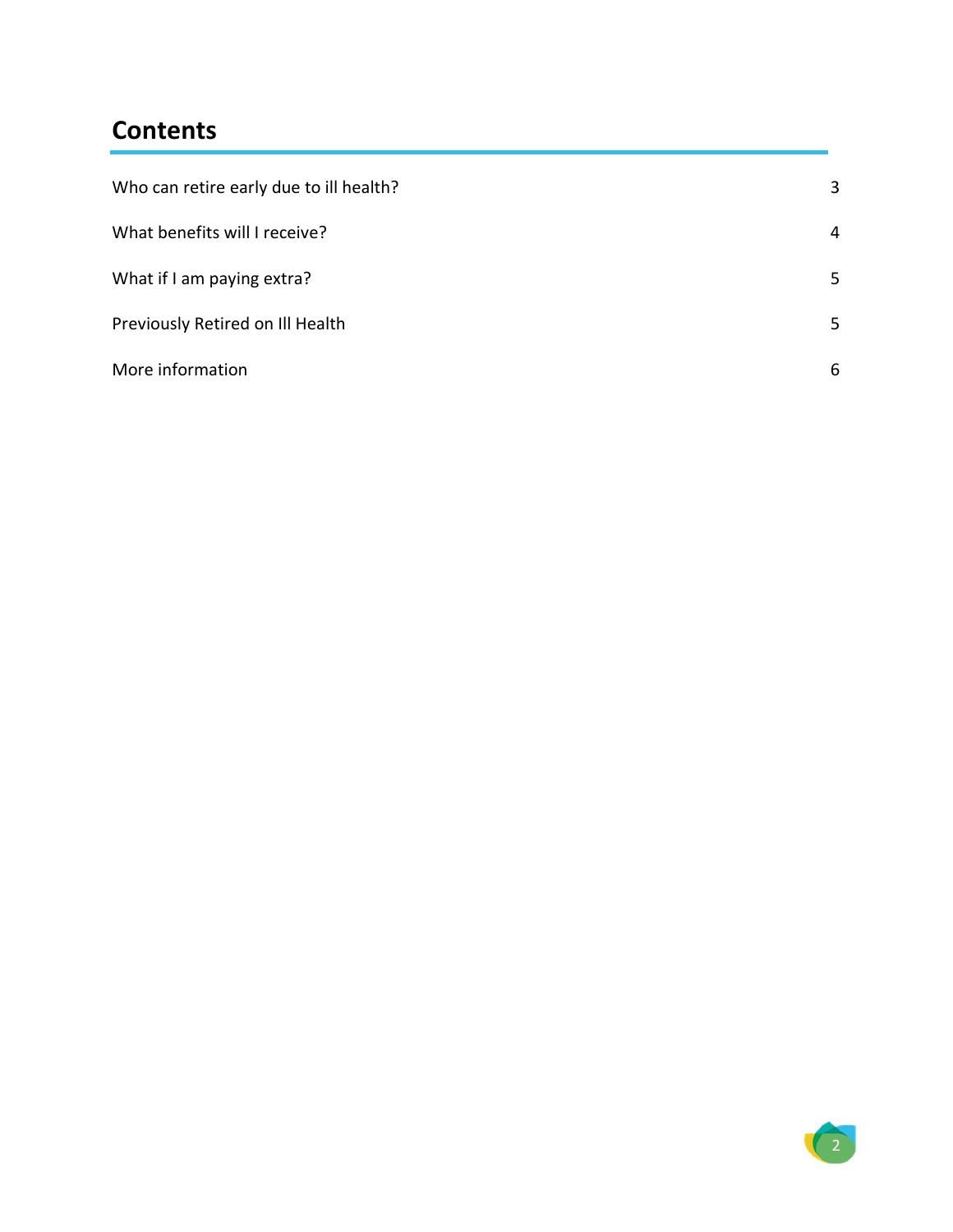### **Contents**

| Who can retire early due to ill health? | 3 |
|-----------------------------------------|---|
| What benefits will I receive?           | 4 |
| What if I am paying extra?              | 5 |
| Previously Retired on Ill Health        | 5 |
| More information                        | 6 |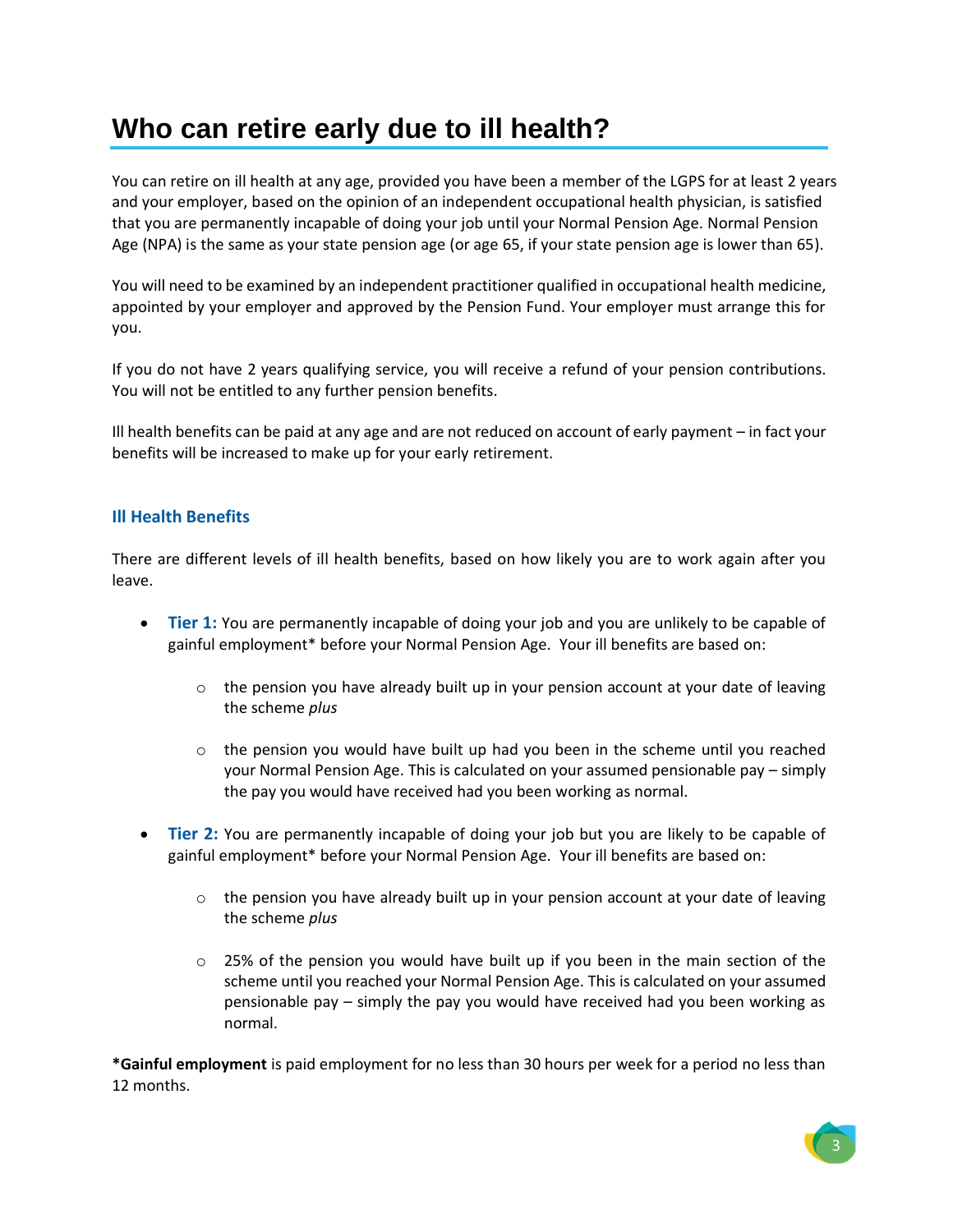## <span id="page-2-0"></span>**Who can retire early due to ill health?**

You can retire on ill health at any age, provided you have been a member of the LGPS for at least 2 years and your employer, based on the opinion of an independent occupational health physician, is satisfied that you are permanently incapable of doing your job until your Normal Pension Age. Normal Pension Age (NPA) is the same as your state pension age (or age 65, if your state pension age is lower than 65).

You will need to be examined by an independent practitioner qualified in occupational health medicine, appointed by your employer and approved by the Pension Fund. Your employer must arrange this for you.

If you do not have 2 years qualifying service, you will receive a refund of your pension contributions. You will not be entitled to any further pension benefits.

Ill health benefits can be paid at any age and are not reduced on account of early payment – in fact your benefits will be increased to make up for your early retirement.

#### **Ill Health Benefits**

There are different levels of ill health benefits, based on how likely you are to work again after you leave.

- **Tier 1:** You are permanently incapable of doing your job and you are unlikely to be capable of gainful employment\* before your Normal Pension Age. Your ill benefits are based on:
	- $\circ$  the pension you have already built up in your pension account at your date of leaving the scheme *plus*
	- $\circ$  the pension you would have built up had you been in the scheme until you reached your Normal Pension Age. This is calculated on your assumed pensionable pay – simply the pay you would have received had you been working as normal.
- **Tier 2:** You are permanently incapable of doing your job but you are likely to be capable of gainful employment\* before your Normal Pension Age. Your ill benefits are based on:
	- $\circ$  the pension you have already built up in your pension account at your date of leaving the scheme *plus*
	- $\circ$  25% of the pension you would have built up if you been in the main section of the scheme until you reached your Normal Pension Age. This is calculated on your assumed pensionable pay – simply the pay you would have received had you been working as normal.

**\*Gainful employment** is paid employment for no less than 30 hours per week for a period no less than 12 months.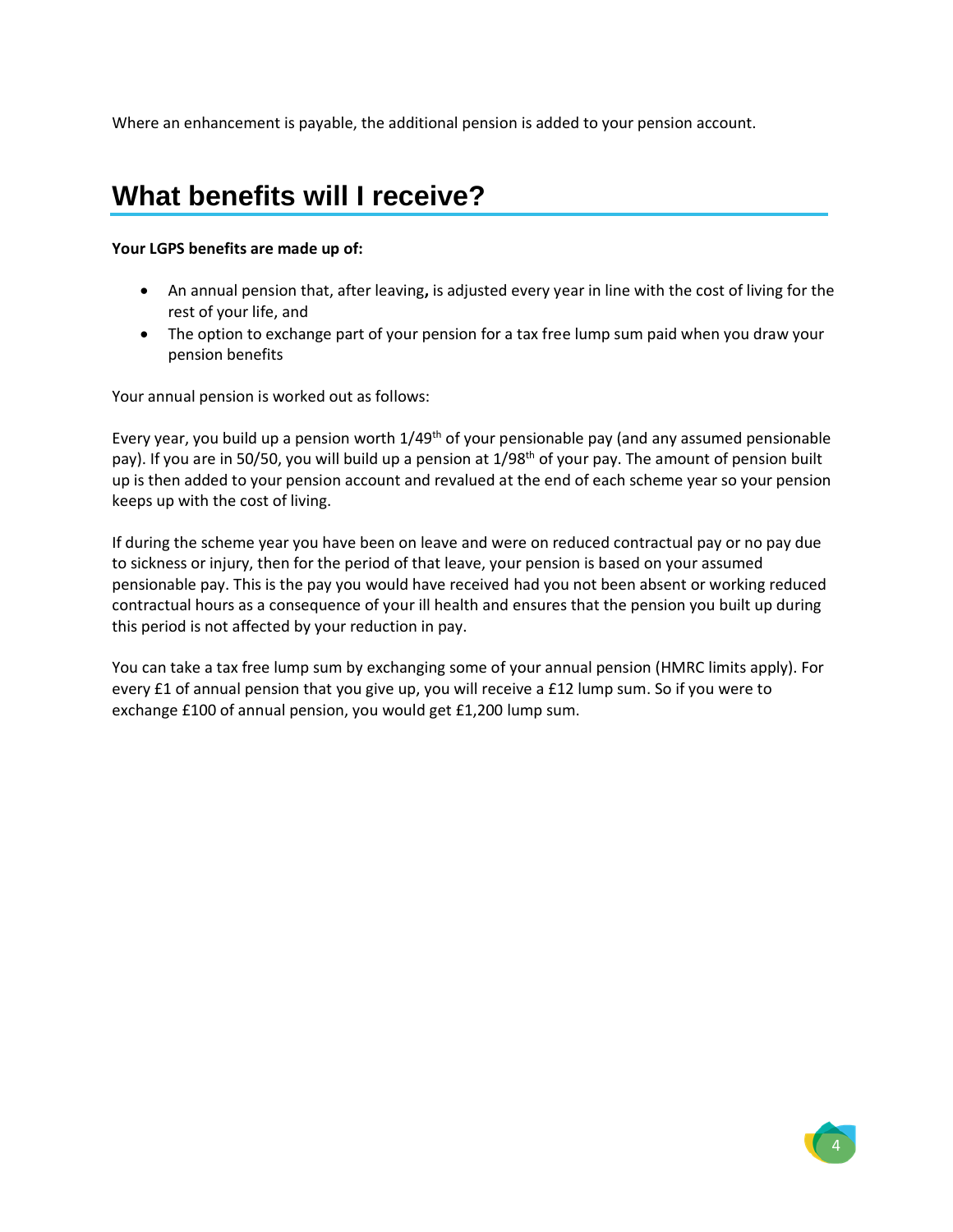Where an enhancement is payable, the additional pension is added to your pension account.

## <span id="page-3-0"></span>**What benefits will I receive?**

#### **Your LGPS benefits are made up of:**

- An annual pension that, after leaving**,** is adjusted every year in line with the cost of living for the rest of your life, and
- The option to exchange part of your pension for a tax free lump sum paid when you draw your pension benefits

Your annual pension is worked out as follows:

Every year, you build up a pension worth  $1/49<sup>th</sup>$  of your pensionable pay (and any assumed pensionable pay). If you are in 50/50, you will build up a pension at 1/98<sup>th</sup> of your pay. The amount of pension built up is then added to your pension account and revalued at the end of each scheme year so your pension keeps up with the cost of living.

If during the scheme year you have been on leave and were on reduced contractual pay or no pay due to sickness or injury, then for the period of that leave, your pension is based on your assumed pensionable pay. This is the pay you would have received had you not been absent or working reduced contractual hours as a consequence of your ill health and ensures that the pension you built up during this period is not affected by your reduction in pay.

<span id="page-3-1"></span>You can take a tax free lump sum by exchanging some of your annual pension (HMRC limits apply). For every £1 of annual pension that you give up, you will receive a £12 lump sum. So if you were to exchange £100 of annual pension, you would get £1,200 lump sum.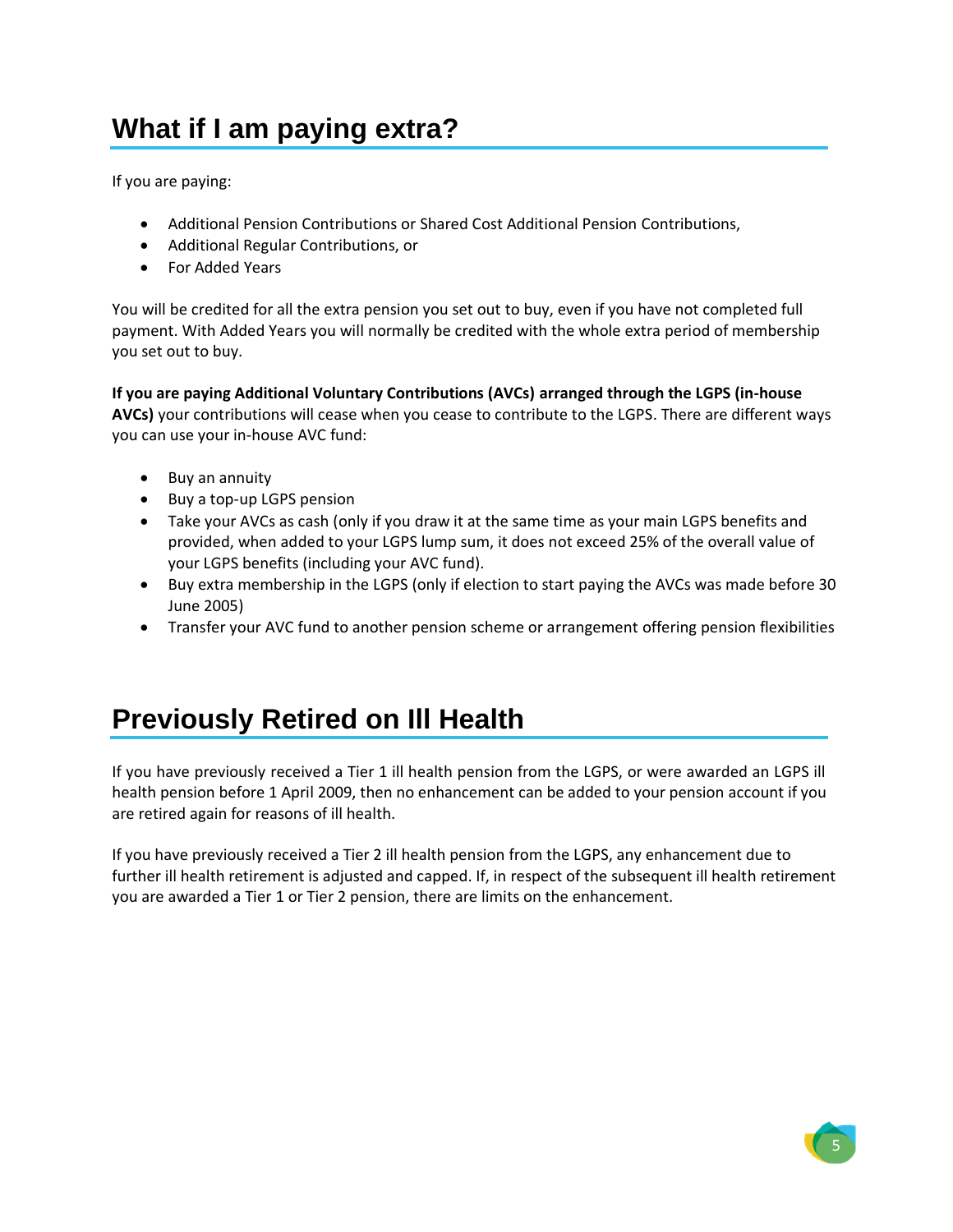# **What if I am paying extra?**

If you are paying:

- Additional Pension Contributions or Shared Cost Additional Pension Contributions,
- Additional Regular Contributions, or
- For Added Years

You will be credited for all the extra pension you set out to buy, even if you have not completed full payment. With Added Years you will normally be credited with the whole extra period of membership you set out to buy.

**If you are paying Additional Voluntary Contributions (AVCs) arranged through the LGPS (in-house AVCs)** your contributions will cease when you cease to contribute to the LGPS. There are different ways you can use your in-house AVC fund:

- Buy an annuity
- Buy a top-up LGPS pension
- Take your AVCs as cash (only if you draw it at the same time as your main LGPS benefits and provided, when added to your LGPS lump sum, it does not exceed 25% of the overall value of your LGPS benefits (including your AVC fund).
- Buy extra membership in the LGPS (only if election to start paying the AVCs was made before 30 June 2005)
- Transfer your AVC fund to another pension scheme or arrangement offering pension flexibilities

## <span id="page-4-0"></span>**Previously Retired on Ill Health**

If you have previously received a Tier 1 ill health pension from the LGPS, or were awarded an LGPS ill health pension before 1 April 2009, then no enhancement can be added to your pension account if you are retired again for reasons of ill health.

<span id="page-4-1"></span>If you have previously received a Tier 2 ill health pension from the LGPS, any enhancement due to further ill health retirement is adjusted and capped. If, in respect of the subsequent ill health retirement you are awarded a Tier 1 or Tier 2 pension, there are limits on the enhancement.